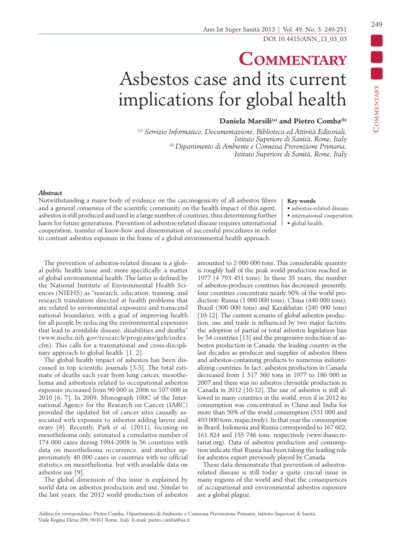# **Commentary** Asbestos case and its current implications for global health

## **Daniela Marsili(a) and Pietro Comba(b)**

*(a) Servizio Informatico, Documentazione, Biblioteca ed Attività Editoriali, Istituto Superiore di Sanità, Rome, Italy (b) Dipartimento di Ambiente e Connessa Prevenzione Primaria, Istituto Superiore di Sanità, Rome, Italy*

#### *Abstract*

Notwithstanding a major body of evidence on the carcinogenicity of all asbestos fibres and a general consensus of the scientific community on the health impact of this agent, asbestos is still produced and used in a large number of countries, thus determining further harm for future generations. Prevention of asbestos-related disease requires international cooperation, transfer of know-how and dissemination of successful procedures in order to contrast asbestos exposure in the frame of a global environmental health approach.

#### **Key words**

- asbestos-related disease
- international cooperation
- global health

The prevention of asbestos-related disease is a global public health issue and, more specifically, a matter of global environmental health. The latter is defined by the National Institute of Environmental Health Sciences (NIEHS) as "research, education, training, and research translation directed at health problems that are related to environmental exposures and transcend national boundaries, with a goal of improving health for all people by reducing the environmental exposures that lead to avoidable disease, disabilities and deaths" (www.niehs.nih.gov/research/programs/geh/index. cfm). This calls for a transnational and cross-disciplinary approach to global health [1, 2].

The global health impact of asbestos has been discussed in top scientific journals [3-5]. The total estimate of deaths each year from lung cancer, mesothelioma and asbestosis related to occupational asbestos exposure increased from 90 000 in 2006 to 107 000 in 2010 [6, 7]. In 2009, Monograph 100C of the International Agency for the Research on Cancer (IARC) provided the updated list of cancer sites causally associated with exposure to asbestos adding larynx and ovary [8]. Recently, Park *et al.* (2011), focusing on mesothelioma only, estimated a cumulative number of 174 000 cases during 1994-2008 in 56 countries with data on mesothelioma occurrence, and another approximately 40 000 cases in countries with no official statistics on mesothelioma, but with available data on asbestos use [9].

The global dimension of this issue is explained by world data on asbestos production and use. Similar to the last years, the 2012 world production of asbestos amounted to 2 000 000 tons. This considerable quantity is roughly half of the peak world production reached in 1977 (4 793 451 tons). In these 35 years, the number of asbestos-producer countries has decreased: presently, four countries concentrate nearly 90% of the world production: Russia (1 000 000 tons), China (440 000 tons), Brazil (300 000 tons) and Kazakhstan (240 000 tons) [10-12]. The current scenario of global asbestos production, use and trade is influenced by two major factors: the adoption of partial or total asbestos legislation ban by 54 countries [13] and the progressive reduction of asbestos production in Canada, the leading country in the last decades as producer and supplier of asbestos fibers and asbestos-containing products to numerous industrializing countries. In fact, asbestos production in Canada decreased from 1 517 360 tons in 1977 to 180 000 in 2007 and there was no asbestos chrysotile production in Canada in 2012 [10-12]. The use of asbestos is still allowed in many countries in the world, even if in 2012 its consumption was concentrated in China and India for more than 50% of the world consumption (531 000 and 493 000 tons, respectively). In that year the consumption in Brazil, Indonesia and Russia corresponded to 167 602, 161 824 and 155 746 tons, respectively (www.ibasecretariat.org). Data of asbestos production and consumption indicate that Russia has been taking the leading role for asbestos export previously played by Canada.

These data demonstrate that prevention of asbestosrelated disease is still today a quite crucial issue in many regions of the world and that the consequences of occupational and environmental asbestos exposure are a global plague.

**Commentary**

COMMENTARY DE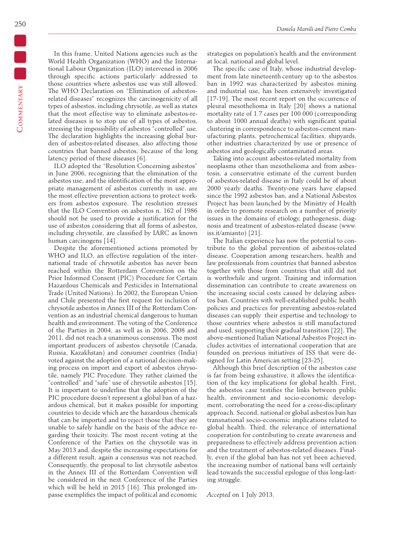In this frame, United Nations agencies such as the World Health Organization (WHO) and the International Labour Organization (ILO) intervened in 2006 through specific actions particularly addressed to those countries where asbestos use was still allowed. The WHO Declaration on "Elimination of asbestosrelated diseases" recognizes the carcinogenicity of all types of asbestos, including chrysotile, as well as states that the most effective way to eliminate asbestos-related diseases is to stop use of all types of asbestos, stressing the impossibility of asbestos "controlled" use. The declaration highlights the increasing global burden of asbestos-related diseases, also affecting those countries that banned asbestos, because of the long latency period of these diseases [6].

ILO adopted the "Resolution Concerning asbestos" in June 2006, recognizing that the elimination of the asbestos use, and the identification of the most appropriate management of asbestos currently in use, are the most effective prevention actions to protect workers from asbestos exposure. The resolution stresses that the ILO Convention on asbestos n. 162 of 1986 should not be used to provide a justification for the use of asbestos considering that all forms of asbestos, including chrysotile, are classified by IARC as known human carcinogens [14].

Despite the aforementioned actions promoted by WHO and ILO, an effective regulation of the international trade of chrysotile asbestos has never been reached within the Rotterdam Convention on the Prior Informed Consent (PIC) Procedure for Certain Hazardous Chemicals and Pesticides in International Trade (United Nations). In 2002, the European Union and Chile presented the first request for inclusion of chrysotile asbestos in Annex III of the Rotterdam Convention as an industrial chemical dangerous to human health and environment. The voting of the Conference of the Parties in 2004, as well as in 2006, 2008 and 2011, did not reach a unanimous consensus. The most important producers of asbestos chrysotile (Canada, Russia, Kazakhstan) and consumer countries (India) voted against the adoption of a national decision-making process on import and export of asbestos chrysotile, namely PIC Procedure. They rather claimed the "controlled" and "safe" use of chrysotile asbestos [15]. It is important to underline that the adoption of the PIC procedure doesn't represent a global ban of a hazardous chemical, but it makes possible for importing countries to decide which are the hazardous chemicals that can be imported and to reject those that they are unable to safely handle on the basis of the advice regarding their toxicity. The most recent voting at the Conference of the Parties on the chrysotile was in May 2013 and, despite the increasing expectations for a different result, again a consensus was not reached. Consequently, the proposal to list chrysotile asbestos in the Annex III of the Rotterdam Convention will be considered in the next Conference of the Parties which will be held in 2015 [16]. This prolonged impasse exemplifies the impact of political and economic

strategies on population's health and the environment at local, national and global level.

The specific case of Italy, whose industrial development from late nineteenth century up to the asbestos ban in 1992 was characterized by asbestos mining and industrial use, has been extensively investigated [17-19]. The most recent report on the occurrence of pleural mesothelioma in Italy [20] shows a national mortality rate of 1.7 cases per 100 000 (corresponding to about 1000 annual deaths) with significant spatial clustering in correspondence to asbestos-cement manufacturing plants, petrochemical facilities, shipyards, other industries characterized by use or presence of asbestos and geologically contaminated areas.

Taking into account asbestos-related mortality from neoplasms other than mesothelioma and from asbestosis, a conservative estimate of the current burden of asbestos-related disease in Italy could be of about 2000 yearly deaths. Twenty-one years have elapsed since the 1992 asbestos ban, and a National Asbestos Project has been launched by the Ministry of Health in order to promote research on a number of priority issues in the domains of etiology, pathogenesis, diagnosis and treatment of asbestos-related disease (www. iss.it/amianto) [21].

The Italian experience has now the potential to contribute to the global prevention of asbestos-related disease. Cooperation among researchers, health and law professionals from countries that banned asbestos together with those from countries that still did not is worthwhile and urgent. Training and information dissemination can contribute to create awareness on the increasing social costs caused by delaying asbestos ban. Countries with well-established public health policies and practices for preventing asbestos-related diseases can supply their expertise and technology to those countries where asbestos is still manufactured and used, supporting their gradual transition [22]. The above-mentioned Italian National Asbestos Project includes activities of international cooperation that are founded on previous initiatives of ISS that were designed for Latin American setting [23-25].

Although this brief description of the asbestos case is far from being exhaustive, it allows the identification of the key implications for global health. First, the asbestos case testifies the links between public health, environment and socio-economic development, corroborating the need for a cross-disciplinary approach. Second, national or global asbestos ban has transnational socio-economic implications related to global health. Third, the relevance of international cooperation for contributing to create awareness and preparedness to effectively address prevention action and the treatment of asbestos-related diseases. Finally, even if the global ban has not yet been achieved, the increasing number of national bans will certainly lead towards the successful epilogue of this long-lasting struggle.

*Accepted* on 1 July 2013.